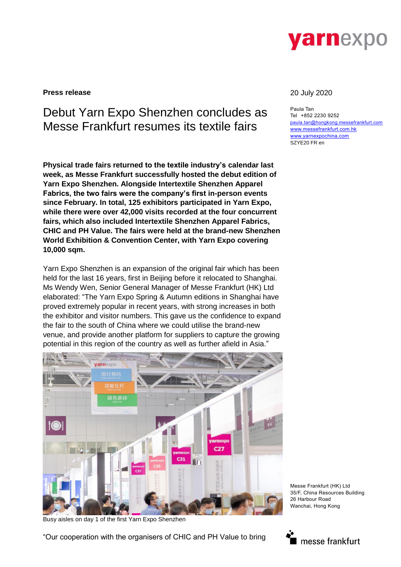

**Press release** 20 July 2020

# Debut Yarn Expo Shenzhen concludes as Messe Frankfurt resumes its textile fairs

**Physical trade fairs returned to the textile industry's calendar last week, as Messe Frankfurt successfully hosted the debut edition of Yarn Expo Shenzhen. Alongside Intertextile Shenzhen Apparel Fabrics, the two fairs were the company's first in-person events since February. In total, 125 exhibitors participated in Yarn Expo, while there were over 42,000 visits recorded at the four concurrent fairs, which also included Intertextile Shenzhen Apparel Fabrics, CHIC and PH Value. The fairs were held at the brand-new Shenzhen World Exhibition & Convention Center, with Yarn Expo covering 10,000 sqm.**

Yarn Expo Shenzhen is an expansion of the original fair which has been held for the last 16 years, first in Beijing before it relocated to Shanghai. Ms Wendy Wen, Senior General Manager of Messe Frankfurt (HK) Ltd elaborated: "The Yarn Expo Spring & Autumn editions in Shanghai have proved extremely popular in recent years, with strong increases in both the exhibitor and visitor numbers. This gave us the confidence to expand the fair to the south of China where we could utilise the brand-new venue, and provide another platform for suppliers to capture the growing potential in this region of the country as well as further afield in Asia."



Busy aisles on day 1 of the first Yarn Expo Shenzhen

"Our cooperation with the organisers of CHIC and PH Value to bring

Paula Tan Tel +852 2230 9252 [paula.tan@hongkong.messefrankfurt.com](mailto:paula.tan@hongkong.messefrankfurt.com) [www.messefrankfurt.com.hk](http://www.messefrankfurt.com.hk/) [www.yarnexpochina.com](http://www.yarnexpochina.com/) SZYE20 FR en

Messe Frankfurt (HK) Ltd 35/F, China Resources Building 26 Harbour Road Wanchai, Hong Kong

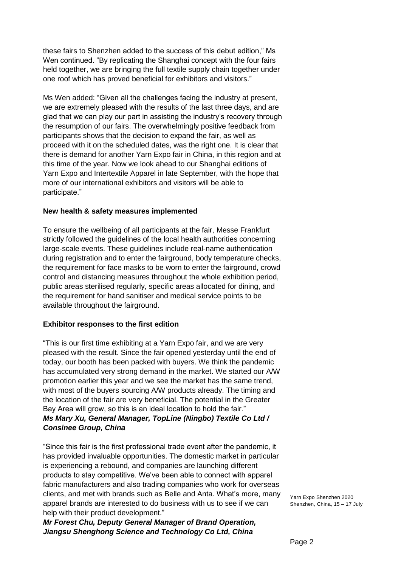these fairs to Shenzhen added to the success of this debut edition," Ms Wen continued. "By replicating the Shanghai concept with the four fairs held together, we are bringing the full textile supply chain together under one roof which has proved beneficial for exhibitors and visitors."

Ms Wen added: "Given all the challenges facing the industry at present, we are extremely pleased with the results of the last three days, and are glad that we can play our part in assisting the industry's recovery through the resumption of our fairs. The overwhelmingly positive feedback from participants shows that the decision to expand the fair, as well as proceed with it on the scheduled dates, was the right one. It is clear that there is demand for another Yarn Expo fair in China, in this region and at this time of the year. Now we look ahead to our Shanghai editions of Yarn Expo and Intertextile Apparel in late September, with the hope that more of our international exhibitors and visitors will be able to participate."

# **New health & safety measures implemented**

To ensure the wellbeing of all participants at the fair, Messe Frankfurt strictly followed the guidelines of the local health authorities concerning large-scale events. These guidelines include real-name authentication during registration and to enter the fairground, body temperature checks, the requirement for face masks to be worn to enter the fairground, crowd control and distancing measures throughout the whole exhibition period, public areas sterilised regularly, specific areas allocated for dining, and the requirement for hand sanitiser and medical service points to be available throughout the fairground.

# **Exhibitor responses to the first edition**

"This is our first time exhibiting at a Yarn Expo fair, and we are very pleased with the result. Since the fair opened yesterday until the end of today, our booth has been packed with buyers. We think the pandemic has accumulated very strong demand in the market. We started our A/W promotion earlier this year and we see the market has the same trend, with most of the buyers sourcing A/W products already. The timing and the location of the fair are very beneficial. The potential in the Greater Bay Area will grow, so this is an ideal location to hold the fair." *Ms Mary Xu, General Manager, TopLine (Ningbo) Textile Co Ltd / Consinee Group, China*

"Since this fair is the first professional trade event after the pandemic, it has provided invaluable opportunities. The domestic market in particular is experiencing a rebound, and companies are launching different products to stay competitive. We've been able to connect with apparel fabric manufacturers and also trading companies who work for overseas clients, and met with brands such as Belle and Anta. What's more, many apparel brands are interested to do business with us to see if we can help with their product development."

*Mr Forest Chu, Deputy General Manager of Brand Operation, Jiangsu Shenghong Science and Technology Co Ltd, China*

Yarn Expo Shenzhen 2020 Shenzhen, China, 15 – 17 July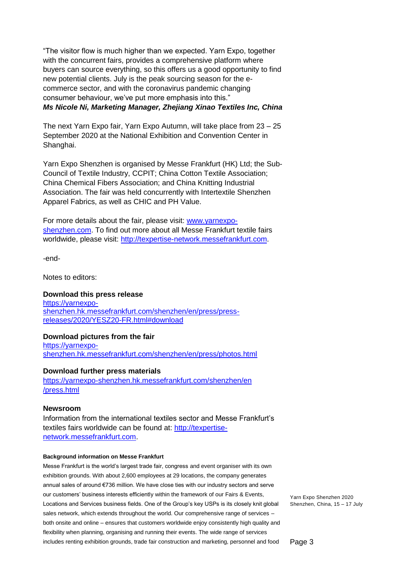"The visitor flow is much higher than we expected. Yarn Expo, together with the concurrent fairs, provides a comprehensive platform where buyers can source everything, so this offers us a good opportunity to find new potential clients. July is the peak sourcing season for the ecommerce sector, and with the coronavirus pandemic changing consumer behaviour, we've put more emphasis into this." *Ms Nicole Ni, Marketing Manager, Zhejiang Xinao Textiles Inc, China*

The next Yarn Expo fair, Yarn Expo Autumn, will take place from 23 – 25 September 2020 at the National Exhibition and Convention Center in Shanghai.

Yarn Expo Shenzhen is organised by Messe Frankfurt (HK) Ltd; the Sub-Council of Textile Industry, CCPIT; China Cotton Textile Association; China Chemical Fibers Association; and China Knitting Industrial Association. The fair was held concurrently with Intertextile Shenzhen Apparel Fabrics, as well as CHIC and PH Value.

For more details about the fair, please visit: [www.yarnexpo](http://www.yarnexpo-shenzhen.com/)[shenzhen.com.](http://www.yarnexpo-shenzhen.com/) To find out more about all Messe Frankfurt textile fairs worldwide, please visit: [http://texpertise-network.messefrankfurt.com.](http://texpertise-network.messefrankfurt.com/)

-end-

Notes to editors:

## **Download this press release**

[https://yarnexpo](https://yarn-expo-shenzhen.hk.messefrankfurt.com/shenzhen/en/press/press-releases/2020/YESZ20-FR.html)[shenzhen.hk.messefrankfurt.com/shenzhen/en/press/press](https://yarn-expo-shenzhen.hk.messefrankfurt.com/shenzhen/en/press/press-releases/2020/YESZ20-FR.html)[releases/2020/YESZ20-FR.html#](https://yarn-expo-shenzhen.hk.messefrankfurt.com/shenzhen/en/press/press-releases/2020/YESZ20-FR.html)download

### **Download pictures from the fair**

[https://yarnexpo](https://yarnexpo-shenzhen.hk.messefrankfurt.com/shenzhen/en/press/photos.html)[shenzhen.hk.messefrankfurt.com/shenzhen/en/press/photos.html](https://yarnexpo-shenzhen.hk.messefrankfurt.com/shenzhen/en/press/photos.html)

#### **Download further press materials**

[https://yarnexpo-shenzhen.hk.messefrankfurt.com/shenzhen/en](https://yarn-expo-shenzhen.hk.messefrankfurt.com/shenzhen/en%20/press.html)  [/press.html](https://yarn-expo-shenzhen.hk.messefrankfurt.com/shenzhen/en%20/press.html)

#### **Newsroom**

Information from the international textiles sector and Messe Frankfurt's textiles fairs worldwide can be found at: [http://texpertise](http://texpertise-network.messefrankfurt.com/)[network.messefrankfurt.com.](http://texpertise-network.messefrankfurt.com/)

#### **Background information on Messe Frankfurt**

Messe Frankfurt is the world's largest trade fair, congress and event organiser with its own exhibition grounds. With about 2,600 employees at 29 locations, the company generates annual sales of around €736 million. We have close ties with our industry sectors and serve our customers' business interests efficiently within the framework of our Fairs & Events, Locations and Services business fields. One of the Group's key USPs is its closely knit global sales network, which extends throughout the world. Our comprehensive range of services – both onsite and online – ensures that customers worldwide enjoy consistently high quality and flexibility when planning, organising and running their events. The wide range of services includes renting exhibition grounds, trade fair construction and marketing, personnel and food

Yarn Expo Shenzhen 2020 Shenzhen, China, 15 – 17 July

Page 3